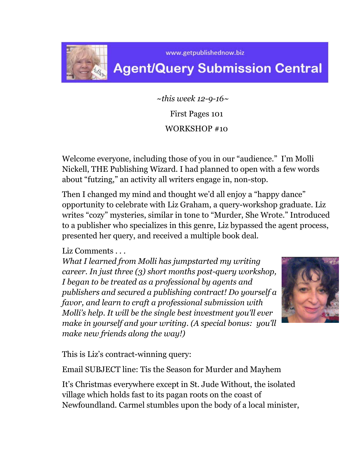

www.getpublishednow.biz

## **Agent/Query Submission Central**

 *~this week 12-9-16~* First Pages 101 WORKSHOP #10

Welcome everyone, including those of you in our "audience." I'm Molli Nickell, THE Publishing Wizard. I had planned to open with a few words about "futzing," an activity all writers engage in, non-stop.

Then I changed my mind and thought we'd all enjoy a "happy dance" opportunity to celebrate with Liz Graham, a query-workshop graduate. Liz writes "cozy" mysteries, similar in tone to "Murder, She Wrote." Introduced to a publisher who specializes in this genre, Liz bypassed the agent process, presented her query, and received a multiple book deal.

Liz Comments *. . .* 

*What I learned from Molli has jumpstarted my writing career. In just three (3) short months post-query workshop, I began to be treated as a professional by agents and publishers and secured a publishing contract! Do yourself a favor, and learn to craft a professional submission with Molli's help. It will be the single best investment you'll ever make in yourself and your writing. (A special bonus: you'll make new friends along the way!)* 



This is Liz's contract-winning query:

Email SUBJECT line: Tis the Season for Murder and Mayhem

It's Christmas everywhere except in St. Jude Without, the isolated village which holds fast to its pagan roots on the coast of Newfoundland. Carmel stumbles upon the body of a local minister,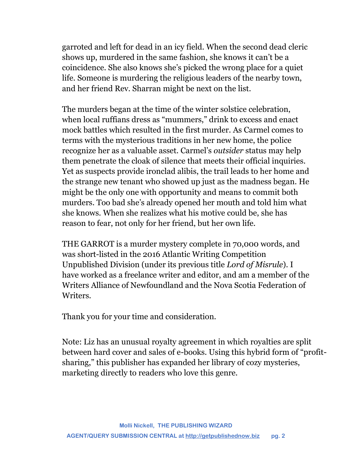garroted and left for dead in an icy field. When the second dead cleric shows up, murdered in the same fashion, she knows it can't be a coincidence. She also knows she's picked the wrong place for a quiet life. Someone is murdering the religious leaders of the nearby town, and her friend Rev. Sharran might be next on the list.

The murders began at the time of the winter solstice celebration, when local ruffians dress as "mummers," drink to excess and enact mock battles which resulted in the first murder. As Carmel comes to terms with the mysterious traditions in her new home, the police recognize her as a valuable asset. Carmel's *outsider* status may help them penetrate the cloak of silence that meets their official inquiries. Yet as suspects provide ironclad alibis, the trail leads to her home and the strange new tenant who showed up just as the madness began. He might be the only one with opportunity and means to commit both murders. Too bad she's already opened her mouth and told him what she knows. When she realizes what his motive could be, she has reason to fear, not only for her friend, but her own life.

THE GARROT is a murder mystery complete in 70,000 words, and was short-listed in the 2016 Atlantic Writing Competition Unpublished Division (under its previous title *Lord of Misrule*). I have worked as a freelance writer and editor, and am a member of the Writers Alliance of Newfoundland and the Nova Scotia Federation of Writers.

Thank you for your time and consideration.

Note: Liz has an unusual royalty agreement in which royalties are split between hard cover and sales of e-books. Using this hybrid form of "profitsharing," this publisher has expanded her library of cozy mysteries, marketing directly to readers who love this genre.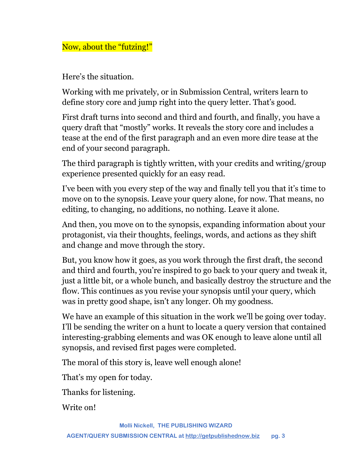Now, about the "futzing!"

Here's the situation.

Working with me privately, or in Submission Central, writers learn to define story core and jump right into the query letter. That's good.

First draft turns into second and third and fourth, and finally, you have a query draft that "mostly" works. It reveals the story core and includes a tease at the end of the first paragraph and an even more dire tease at the end of your second paragraph.

The third paragraph is tightly written, with your credits and writing/group experience presented quickly for an easy read.

I've been with you every step of the way and finally tell you that it's time to move on to the synopsis. Leave your query alone, for now. That means, no editing, to changing, no additions, no nothing. Leave it alone.

And then, you move on to the synopsis, expanding information about your protagonist, via their thoughts, feelings, words, and actions as they shift and change and move through the story.

But, you know how it goes, as you work through the first draft, the second and third and fourth, you're inspired to go back to your query and tweak it, just a little bit, or a whole bunch, and basically destroy the structure and the flow. This continues as you revise your synopsis until your query, which was in pretty good shape, isn't any longer. Oh my goodness.

We have an example of this situation in the work we'll be going over today. I'll be sending the writer on a hunt to locate a query version that contained interesting-grabbing elements and was OK enough to leave alone until all synopsis, and revised first pages were completed.

The moral of this story is, leave well enough alone!

That's my open for today.

Thanks for listening.

Write on!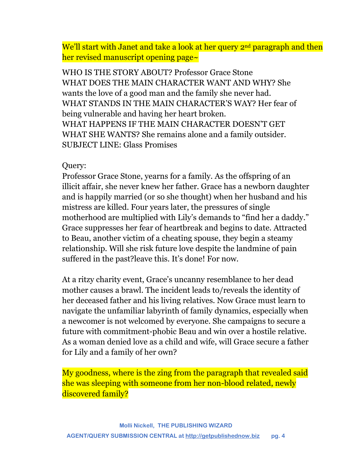We'll start with Janet and take a look at her query 2<sup>nd</sup> paragraph and then her revised manuscript opening page~

WHO IS THE STORY ABOUT? Professor Grace Stone WHAT DOES THE MAIN CHARACTER WANT AND WHY? She wants the love of a good man and the family she never had. WHAT STANDS IN THE MAIN CHARACTER'S WAY? Her fear of being vulnerable and having her heart broken. WHAT HAPPENS IF THE MAIN CHARACTER DOESN'T GET WHAT SHE WANTS? She remains alone and a family outsider. SUBJECT LINE: Glass Promises

## Query:

Professor Grace Stone, yearns for a family. As the offspring of an illicit affair, she never knew her father. Grace has a newborn daughter and is happily married (or so she thought) when her husband and his mistress are killed. Four years later, the pressures of single motherhood are multiplied with Lily's demands to "find her a daddy." Grace suppresses her fear of heartbreak and begins to date. Attracted to Beau, another victim of a cheating spouse, they begin a steamy relationship. Will she risk future love despite the landmine of pain suffered in the past?leave this. It's done! For now.

At a ritzy charity event, Grace's uncanny resemblance to her dead mother causes a brawl. The incident leads to/reveals the identity of her deceased father and his living relatives. Now Grace must learn to navigate the unfamiliar labyrinth of family dynamics, especially when a newcomer is not welcomed by everyone. She campaigns to secure a future with commitment-phobic Beau and win over a hostile relative. As a woman denied love as a child and wife, will Grace secure a father for Lily and a family of her own?

My goodness, where is the zing from the paragraph that revealed said she was sleeping with someone from her non-blood related, newly discovered family?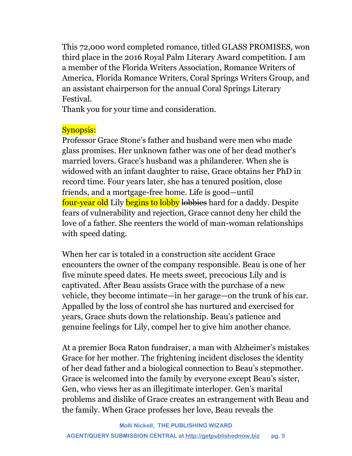This 72,000 word completed romance, titled GLASS PROMISES, won third place in the 2016 Royal Palm Literary Award competition. I am a member of the Florida Writers Association, Romance Writers of America, Florida Romance Writers, Coral Springs Writers Group, and an assistant chairperson for the annual Coral Springs Literary Festival.

Thank you for your time and consideration.

## Synopsis:

Professor Grace Stone's father and husband were men who made glass promises. Her unknown father was one of her dead mother's married lovers. Grace's husband was a philanderer. When she is widowed with an infant daughter to raise, Grace obtains her PhD in record time. Four years later, she has a tenured position, close friends, and a mortgage-free home. Life is good—until four-year old Lily begins to lobby lobbies hard for a daddy. Despite fears of vulnerability and rejection, Grace cannot deny her child the love of a father. She reenters the world of man-woman relationships with speed dating.

When her car is totaled in a construction site accident Grace encounters the owner of the company responsible. Beau is one of her five minute speed dates. He meets sweet, precocious Lily and is captivated. After Beau assists Grace with the purchase of a new vehicle, they become intimate—in her garage—on the trunk of his car. Appalled by the loss of control she has nurtured and exercised for years, Grace shuts down the relationship. Beau's patience and genuine feelings for Lily, compel her to give him another chance.

At a premier Boca Raton fundraiser, a man with Alzheimer's mistakes Grace for her mother. The frightening incident discloses the identity of her dead father and a biological connection to Beau's stepmother. Grace is welcomed into the family by everyone except Beau's sister, Gen, who views her as an illegitimate interloper. Gen's marital problems and dislike of Grace creates an estrangement with Beau and the family. When Grace professes her love, Beau reveals the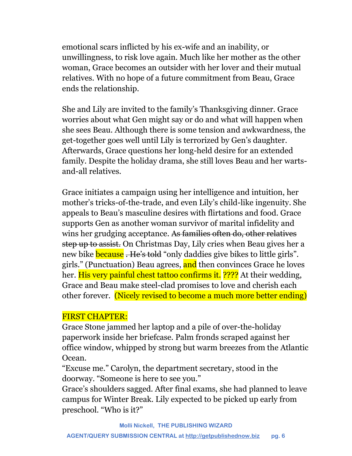emotional scars inflicted by his ex-wife and an inability, or unwillingness, to risk love again. Much like her mother as the other woman, Grace becomes an outsider with her lover and their mutual relatives. With no hope of a future commitment from Beau, Grace ends the relationship.

She and Lily are invited to the family's Thanksgiving dinner. Grace worries about what Gen might say or do and what will happen when she sees Beau. Although there is some tension and awkwardness, the get-together goes well until Lily is terrorized by Gen's daughter. Afterwards, Grace questions her long-held desire for an extended family. Despite the holiday drama, she still loves Beau and her wartsand-all relatives.

Grace initiates a campaign using her intelligence and intuition, her mother's tricks-of-the-trade, and even Lily's child-like ingenuity. She appeals to Beau's masculine desires with flirtations and food. Grace supports Gen as another woman survivor of marital infidelity and wins her grudging acceptance. As families often do, other relatives step up to assist. On Christmas Day, Lily cries when Beau gives her a new bike **because**. He's told "only daddies give bikes to little girls". girls." (Punctuation) Beau agrees, and then convinces Grace he loves her. His very painful chest tattoo confirms it. ???? At their wedding, Grace and Beau make steel-clad promises to love and cherish each other forever. (Nicely revised to become a much more better ending)

## FIRST CHAPTER:

Grace Stone jammed her laptop and a pile of over-the-holiday paperwork inside her briefcase. Palm fronds scraped against her office window, whipped by strong but warm breezes from the Atlantic Ocean.

"Excuse me." Carolyn, the department secretary, stood in the doorway. "Someone is here to see you."

Grace's shoulders sagged. After final exams, she had planned to leave campus for Winter Break. Lily expected to be picked up early from preschool. "Who is it?"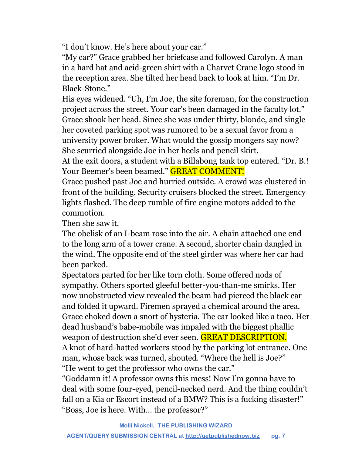"I don't know. He's here about your car."

"My car?" Grace grabbed her briefcase and followed Carolyn. A man in a hard hat and acid-green shirt with a Charvet Crane logo stood in the reception area. She tilted her head back to look at him. "I'm Dr. Black-Stone."

His eyes widened. "Uh, I'm Joe, the site foreman, for the construction project across the street. Your car's been damaged in the faculty lot." Grace shook her head. Since she was under thirty, blonde, and single her coveted parking spot was rumored to be a sexual favor from a university power broker. What would the gossip mongers say now? She scurried alongside Joe in her heels and pencil skirt.

At the exit doors, a student with a Billabong tank top entered. "Dr. B.! Your Beemer's been beamed." **GREAT COMMENT!** 

Grace pushed past Joe and hurried outside. A crowd was clustered in front of the building. Security cruisers blocked the street. Emergency lights flashed. The deep rumble of fire engine motors added to the commotion.

Then she saw it.

The obelisk of an I-beam rose into the air. A chain attached one end to the long arm of a tower crane. A second, shorter chain dangled in the wind. The opposite end of the steel girder was where her car had been parked.

Spectators parted for her like torn cloth. Some offered nods of sympathy. Others sported gleeful better-you-than-me smirks. Her now unobstructed view revealed the beam had pierced the black car and folded it upward. Firemen sprayed a chemical around the area. Grace choked down a snort of hysteria. The car looked like a taco. Her dead husband's babe-mobile was impaled with the biggest phallic weapon of destruction she'd ever seen. GREAT DESCRIPTION. A knot of hard-hatted workers stood by the parking lot entrance. One man, whose back was turned, shouted. "Where the hell is Joe?" "He went to get the professor who owns the car."

"Goddamn it! A professor owns this mess! Now I'm gonna have to deal with some four-eyed, pencil-necked nerd. And the thing couldn't fall on a Kia or Escort instead of a BMW? This is a fucking disaster!" "Boss, Joe is here. With… the professor?"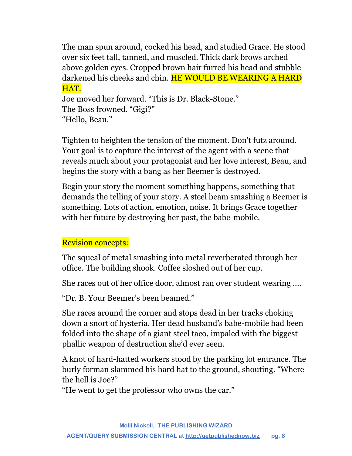The man spun around, cocked his head, and studied Grace. He stood over six feet tall, tanned, and muscled. Thick dark brows arched above golden eyes. Cropped brown hair furred his head and stubble darkened his cheeks and chin. HE WOULD BE WEARING A HARD HAT.

Joe moved her forward. "This is Dr. Black-Stone." The Boss frowned. "Gigi?" "Hello, Beau."

Tighten to heighten the tension of the moment. Don't futz around. Your goal is to capture the interest of the agent with a scene that reveals much about your protagonist and her love interest, Beau, and begins the story with a bang as her Beemer is destroyed.

Begin your story the moment something happens, something that demands the telling of your story. A steel beam smashing a Beemer is something. Lots of action, emotion, noise. It brings Grace together with her future by destroying her past, the babe-mobile.

## Revision concepts:

The squeal of metal smashing into metal reverberated through her office. The building shook. Coffee sloshed out of her cup.

She races out of her office door, almost ran over student wearing ….

"Dr. B. Your Beemer's been beamed."

She races around the corner and stops dead in her tracks choking down a snort of hysteria. Her dead husband's babe-mobile had been folded into the shape of a giant steel taco, impaled with the biggest phallic weapon of destruction she'd ever seen.

A knot of hard-hatted workers stood by the parking lot entrance. The burly forman slammed his hard hat to the ground, shouting. "Where the hell is Joe?"

"He went to get the professor who owns the car."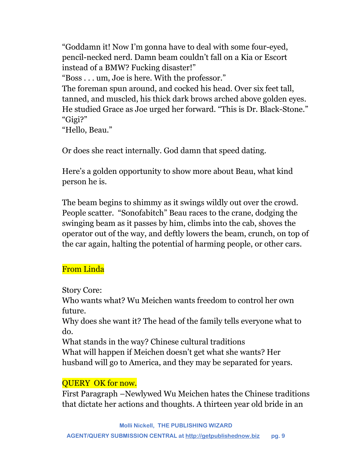"Goddamn it! Now I'm gonna have to deal with some four-eyed, pencil-necked nerd. Damn beam couldn't fall on a Kia or Escort instead of a BMW? Fucking disaster!" "Boss . . . um, Joe is here. With the professor." The foreman spun around, and cocked his head. Over six feet tall, tanned, and muscled, his thick dark brows arched above golden eyes. He studied Grace as Joe urged her forward. "This is Dr. Black-Stone." "Gigi?" "Hello, Beau."

Or does she react internally. God damn that speed dating.

Here's a golden opportunity to show more about Beau, what kind person he is.

The beam begins to shimmy as it swings wildly out over the crowd. People scatter. "Sonofabitch" Beau races to the crane, dodging the swinging beam as it passes by him, climbs into the cab, shoves the operator out of the way, and deftly lowers the beam, crunch, on top of the car again, halting the potential of harming people, or other cars.

## From Linda

## Story Core:

Who wants what? Wu Meichen wants freedom to control her own future.

Why does she want it? The head of the family tells everyone what to do.

What stands in the way? Chinese cultural traditions

What will happen if Meichen doesn't get what she wants? Her husband will go to America, and they may be separated for years.

## QUERY OK for now.

First Paragraph –Newlywed Wu Meichen hates the Chinese traditions that dictate her actions and thoughts. A thirteen year old bride in an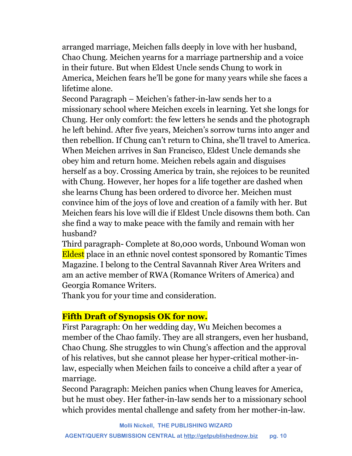arranged marriage, Meichen falls deeply in love with her husband, Chao Chung. Meichen yearns for a marriage partnership and a voice in their future. But when Eldest Uncle sends Chung to work in America, Meichen fears he'll be gone for many years while she faces a lifetime alone.

Second Paragraph – Meichen's father-in-law sends her to a missionary school where Meichen excels in learning. Yet she longs for Chung. Her only comfort: the few letters he sends and the photograph he left behind. After five years, Meichen's sorrow turns into anger and then rebellion. If Chung can't return to China, she'll travel to America. When Meichen arrives in San Francisco, Eldest Uncle demands she obey him and return home. Meichen rebels again and disguises herself as a boy. Crossing America by train, she rejoices to be reunited with Chung. However, her hopes for a life together are dashed when she learns Chung has been ordered to divorce her. Meichen must convince him of the joys of love and creation of a family with her. But Meichen fears his love will die if Eldest Uncle disowns them both. Can she find a way to make peace with the family and remain with her husband?

Third paragraph- Complete at 80,000 words, Unbound Woman won Eldest place in an ethnic novel contest sponsored by Romantic Times Magazine. I belong to the Central Savannah River Area Writers and am an active member of RWA (Romance Writers of America) and Georgia Romance Writers.

Thank you for your time and consideration.

## **Fifth Draft of Synopsis OK for now.**

First Paragraph: On her wedding day, Wu Meichen becomes a member of the Chao family. They are all strangers, even her husband, Chao Chung. She struggles to win Chung's affection and the approval of his relatives, but she cannot please her hyper-critical mother-inlaw, especially when Meichen fails to conceive a child after a year of marriage.

Second Paragraph: Meichen panics when Chung leaves for America, but he must obey. Her father-in-law sends her to a missionary school which provides mental challenge and safety from her mother-in-law.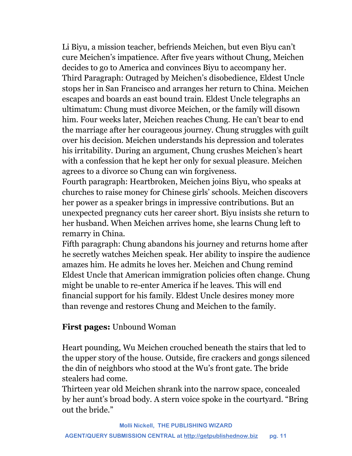Li Biyu, a mission teacher, befriends Meichen, but even Biyu can't cure Meichen's impatience. After five years without Chung, Meichen decides to go to America and convinces Biyu to accompany her. Third Paragraph: Outraged by Meichen's disobedience, Eldest Uncle stops her in San Francisco and arranges her return to China. Meichen escapes and boards an east bound train. Eldest Uncle telegraphs an ultimatum: Chung must divorce Meichen, or the family will disown him. Four weeks later, Meichen reaches Chung. He can't bear to end the marriage after her courageous journey. Chung struggles with guilt over his decision. Meichen understands his depression and tolerates his irritability. During an argument, Chung crushes Meichen's heart with a confession that he kept her only for sexual pleasure. Meichen agrees to a divorce so Chung can win forgiveness.

Fourth paragraph: Heartbroken, Meichen joins Biyu, who speaks at churches to raise money for Chinese girls' schools. Meichen discovers her power as a speaker brings in impressive contributions. But an unexpected pregnancy cuts her career short. Biyu insists she return to her husband. When Meichen arrives home, she learns Chung left to remarry in China.

Fifth paragraph: Chung abandons his journey and returns home after he secretly watches Meichen speak. Her ability to inspire the audience amazes him. He admits he loves her. Meichen and Chung remind Eldest Uncle that American immigration policies often change. Chung might be unable to re-enter America if he leaves. This will end financial support for his family. Eldest Uncle desires money more than revenge and restores Chung and Meichen to the family.

## **First pages:** Unbound Woman

Heart pounding, Wu Meichen crouched beneath the stairs that led to the upper story of the house. Outside, fire crackers and gongs silenced the din of neighbors who stood at the Wu's front gate. The bride stealers had come.

Thirteen year old Meichen shrank into the narrow space, concealed by her aunt's broad body. A stern voice spoke in the courtyard. "Bring out the bride."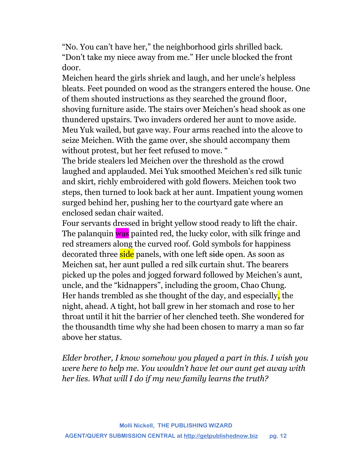"No. You can't have her," the neighborhood girls shrilled back. "Don't take my niece away from me." Her uncle blocked the front door.

Meichen heard the girls shriek and laugh, and her uncle's helpless bleats. Feet pounded on wood as the strangers entered the house. One of them shouted instructions as they searched the ground floor, shoving furniture aside. The stairs over Meichen's head shook as one thundered upstairs. Two invaders ordered her aunt to move aside. Meu Yuk wailed, but gave way. Four arms reached into the alcove to seize Meichen. With the game over, she should accompany them without protest, but her feet refused to move. "

The bride stealers led Meichen over the threshold as the crowd laughed and applauded. Mei Yuk smoothed Meichen's red silk tunic and skirt, richly embroidered with gold flowers. Meichen took two steps, then turned to look back at her aunt. Impatient young women surged behind her, pushing her to the courtyard gate where an enclosed sedan chair waited.

Four servants dressed in bright yellow stood ready to lift the chair. The palanquin was painted red, the lucky color, with silk fringe and red streamers along the curved roof. Gold symbols for happiness decorated three side panels, with one left side open. As soon as Meichen sat, her aunt pulled a red silk curtain shut. The bearers picked up the poles and jogged forward followed by Meichen's aunt, uncle, and the "kidnappers", including the groom, Chao Chung. Her hands trembled as she thought of the day, and especially, the night, ahead. A tight, hot ball grew in her stomach and rose to her throat until it hit the barrier of her clenched teeth. She wondered for the thousandth time why she had been chosen to marry a man so far above her status.

*Elder brother, I know somehow you played a part in this. I wish you were here to help me. You wouldn't have let our aunt get away with her lies. What will I do if my new family learns the truth?*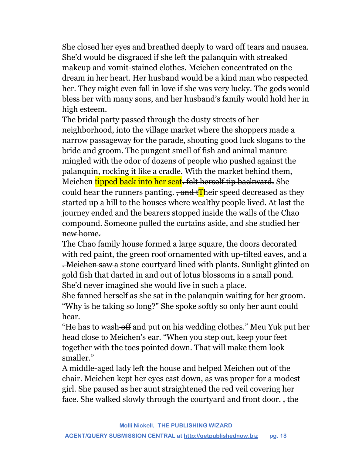She closed her eyes and breathed deeply to ward off tears and nausea. She'd would be disgraced if she left the palanquin with streaked makeup and vomit-stained clothes. Meichen concentrated on the dream in her heart. Her husband would be a kind man who respected her. They might even fall in love if she was very lucky. The gods would bless her with many sons, and her husband's family would hold her in high esteem.

The bridal party passed through the dusty streets of her neighborhood, into the village market where the shoppers made a narrow passageway for the parade, shouting good luck slogans to the bride and groom. The pungent smell of fish and animal manure mingled with the odor of dozens of people who pushed against the palanquin, rocking it like a cradle. With the market behind them, Meichen tipped back into her seat. felt herself tip backward. She could hear the runners panting.  $\frac{1}{2}$  and  $\frac{1}{2}$  heir speed decreased as they started up a hill to the houses where wealthy people lived. At last the journey ended and the bearers stopped inside the walls of the Chao compound. Someone pulled the curtains aside, and she studied her new home.

The Chao family house formed a large square, the doors decorated with red paint, the green roof ornamented with up-tilted eaves, and a . Meichen saw a stone courtyard lined with plants. Sunlight glinted on gold fish that darted in and out of lotus blossoms in a small pond. She'd never imagined she would live in such a place.

She fanned herself as she sat in the palanquin waiting for her groom. "Why is he taking so long?" She spoke softly so only her aunt could hear.

"He has to wash-off and put on his wedding clothes." Meu Yuk put her head close to Meichen's ear. "When you step out, keep your feet together with the toes pointed down. That will make them look smaller."

A middle-aged lady left the house and helped Meichen out of the chair. Meichen kept her eyes cast down, as was proper for a modest girl. She paused as her aunt straightened the red veil covering her face. She walked slowly through the courtyard and front door.  $\frac{1}{100}$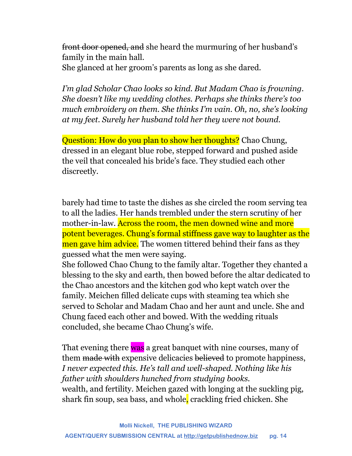front door opened, and she heard the murmuring of her husband's family in the main hall.

She glanced at her groom's parents as long as she dared.

*I'm glad Scholar Chao looks so kind. But Madam Chao is frowning. She doesn't like my wedding clothes. Perhaps she thinks there's too much embroidery on them. She thinks I'm vain. Oh, no, she's looking at my feet. Surely her husband told her they were not bound.*

Question: How do you plan to show her thoughts? Chao Chung, dressed in an elegant blue robe, stepped forward and pushed aside the veil that concealed his bride's face. They studied each other discreetly.

barely had time to taste the dishes as she circled the room serving tea to all the ladies. Her hands trembled under the stern scrutiny of her mother-in-law. Across the room, the men downed wine and more potent beverages. Chung's formal stiffness gave way to laughter as the men gave him advice. The women tittered behind their fans as they guessed what the men were saying.

She followed Chao Chung to the family altar. Together they chanted a blessing to the sky and earth, then bowed before the altar dedicated to the Chao ancestors and the kitchen god who kept watch over the family. Meichen filled delicate cups with steaming tea which she served to Scholar and Madam Chao and her aunt and uncle. She and Chung faced each other and bowed. With the wedding rituals concluded, she became Chao Chung's wife.

That evening there was a great banquet with nine courses, many of them made with expensive delicacies believed to promote happiness, *I never expected this. He's tall and well-shaped. Nothing like his father with shoulders hunched from studying books.* wealth, and fertility. Meichen gazed with longing at the suckling pig, shark fin soup, sea bass, and whole, crackling fried chicken. She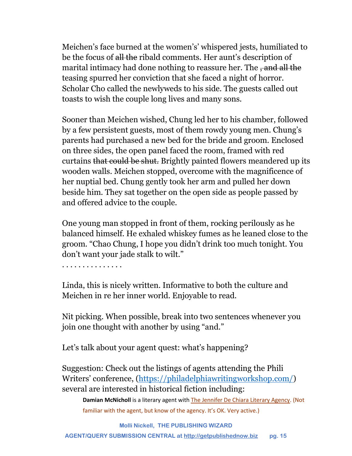Meichen's face burned at the women's' whispered jests, humiliated to be the focus of all the ribald comments. Her aunt's description of marital intimacy had done nothing to reassure her. The , and all the teasing spurred her conviction that she faced a night of horror. Scholar Cho called the newlyweds to his side. The guests called out toasts to wish the couple long lives and many sons.

Sooner than Meichen wished, Chung led her to his chamber, followed by a few persistent guests, most of them rowdy young men. Chung's parents had purchased a new bed for the bride and groom. Enclosed on three sides, the open panel faced the room, framed with red curtains that could be shut. Brightly painted flowers meandered up its wooden walls. Meichen stopped, overcome with the magnificence of her nuptial bed. Chung gently took her arm and pulled her down beside him. They sat together on the open side as people passed by and offered advice to the couple.

One young man stopped in front of them, rocking perilously as he balanced himself. He exhaled whiskey fumes as he leaned close to the groom. "Chao Chung, I hope you didn't drink too much tonight. You don't want your jade stalk to wilt."

. . . . . . . . . . . . . . .

Linda, this is nicely written. Informative to both the culture and Meichen in re her inner world. Enjoyable to read.

Nit picking. When possible, break into two sentences whenever you join one thought with another by using "and."

Let's talk about your agent quest: what's happening?

Suggestion: Check out the listings of agents attending the Phili Writers' conference, [\(https://philadelphiawritingworkshop.com/\)](https://philadelphiawritingworkshop.com/) several are interested in historical fiction including:

**Damian McNicholl** is a literary agent with [The Jennifer De Chiara Literary Agency.](http://www.jdlit.com/) (Not familiar with the agent, but know of the agency. It's OK. Very active.)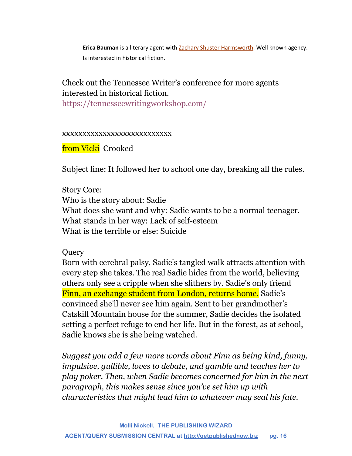**Erica Bauman** is a literary agent wit[h Zachary Shuster Harmsworth.](http://www.zshliterary.com/) Well known agency. Is interested in historical fiction.

## Check out the Tennessee Writer's conference for more agents interested in historical fiction.

<https://tennesseewritingworkshop.com/>

#### xxxxxxxxxxxxxxxxxxxxxxxxxxx

from Vicki Crooked

Subject line: It followed her to school one day, breaking all the rules.

## Story Core: Who is the story about: Sadie What does she want and why: Sadie wants to be a normal teenager. What stands in her way: Lack of self-esteem What is the terrible or else: Suicide

## Query

Born with cerebral palsy, Sadie's tangled walk attracts attention with every step she takes. The real Sadie hides from the world, believing others only see a cripple when she slithers by. Sadie's only friend Finn, an exchange student from London, returns home. Sadie's convinced she'll never see him again. Sent to her grandmother's Catskill Mountain house for the summer, Sadie decides the isolated setting a perfect refuge to end her life. But in the forest, as at school, Sadie knows she is she being watched.

*Suggest you add a few more words about Finn as being kind, funny, impulsive, gullible, loves to debate, and gamble and teaches her to play poker. Then, when Sadie becomes concerned for him in the next paragraph, this makes sense since you've set him up with characteristics that might lead him to whatever may seal his fate.*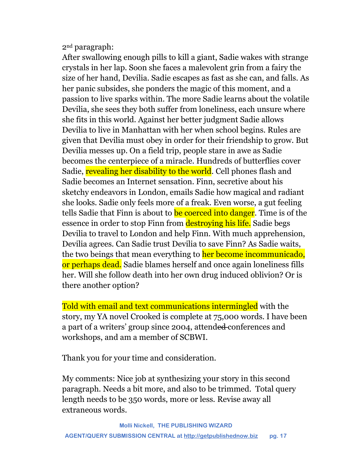2nd paragraph:

After swallowing enough pills to kill a giant, Sadie wakes with strange crystals in her lap. Soon she faces a malevolent grin from a fairy the size of her hand, Devilia. Sadie escapes as fast as she can, and falls. As her panic subsides, she ponders the magic of this moment, and a passion to live sparks within. The more Sadie learns about the volatile Devilia, she sees they both suffer from loneliness, each unsure where she fits in this world. Against her better judgment Sadie allows Devilia to live in Manhattan with her when school begins. Rules are given that Devilia must obey in order for their friendship to grow. But Devilia messes up. On a field trip, people stare in awe as Sadie becomes the centerpiece of a miracle. Hundreds of butterflies cover Sadie, revealing her disability to the world. Cell phones flash and Sadie becomes an Internet sensation. Finn, secretive about his sketchy endeavors in London, emails Sadie how magical and radiant she looks. Sadie only feels more of a freak. Even worse, a gut feeling tells Sadie that Finn is about to **be coerced into danger**. Time is of the essence in order to stop Finn from **destroying his life.** Sadie begs Devilia to travel to London and help Finn. With much apprehension, Devilia agrees. Can Sadie trust Devilia to save Finn? As Sadie waits, the two beings that mean everything to her become incommunicado, or perhaps dead. Sadie blames herself and once again loneliness fills her. Will she follow death into her own drug induced oblivion? Or is there another option?

Told with email and text communications intermingled with the story, my YA novel Crooked is complete at 75,000 words. I have been a part of a writers' group since 2004, attended conferences and workshops, and am a member of SCBWI.

Thank you for your time and consideration.

My comments: Nice job at synthesizing your story in this second paragraph. Needs a bit more, and also to be trimmed. Total query length needs to be 350 words, more or less. Revise away all extraneous words.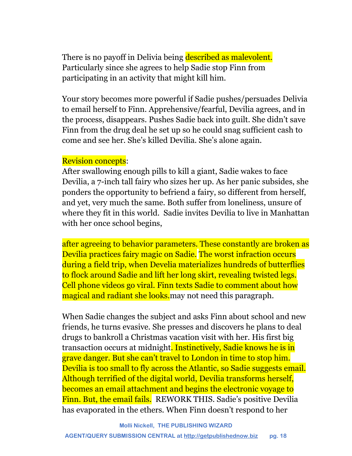There is no payoff in Delivia being described as malevolent. Particularly since she agrees to help Sadie stop Finn from participating in an activity that might kill him.

Your story becomes more powerful if Sadie pushes/persuades Delivia to email herself to Finn. Apprehensive/fearful, Devilia agrees, and in the process, disappears. Pushes Sadie back into guilt. She didn't save Finn from the drug deal he set up so he could snag sufficient cash to come and see her. She's killed Devilia. She's alone again.

#### Revision concepts:

After swallowing enough pills to kill a giant, Sadie wakes to face Devilia, a 7-inch tall fairy who sizes her up. As her panic subsides, she ponders the opportunity to befriend a fairy, so different from herself, and yet, very much the same. Both suffer from loneliness, unsure of where they fit in this world. Sadie invites Devilia to live in Manhattan with her once school begins,

after agreeing to behavior parameters. These constantly are broken as Devilia practices fairy magic on Sadie. The worst infraction occurs during a field trip, when Develia materializes hundreds of butterflies to flock around Sadie and lift her long skirt, revealing twisted legs. Cell phone videos go viral. Finn texts Sadie to comment about how magical and radiant she looks. may not need this paragraph.

When Sadie changes the subject and asks Finn about school and new friends, he turns evasive. She presses and discovers he plans to deal drugs to bankroll a Christmas vacation visit with her. His first big transaction occurs at midnight. Instinctively, Sadie knows he is in grave danger. But she can't travel to London in time to stop him. Devilia is too small to fly across the Atlantic, so Sadie suggests email. Although terrified of the digital world, Devilia transforms herself, becomes an email attachment and begins the electronic voyage to Finn. But, the email fails. REWORK THIS. Sadie's positive Devilia has evaporated in the ethers. When Finn doesn't respond to her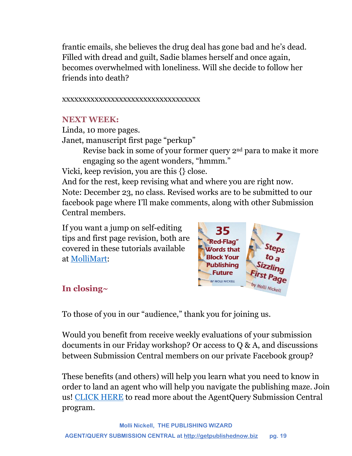frantic emails, she believes the drug deal has gone bad and he's dead. Filled with dread and guilt, Sadie blames herself and once again, becomes overwhelmed with loneliness. Will she decide to follow her friends into death?

### xxxxxxxxxxxxxxxxxxxxxxxxxxxxxxxxxx

## **NEXT WEEK:**

Linda, 10 more pages.

Janet, manuscript first page "perkup"

Revise back in some of your former query 2nd para to make it more engaging so the agent wonders, "hmmm."

Vicki, keep revision, you are this {} close.

And for the rest, keep revising what and where you are right now. Note: December 23, no class. Revised works are to be submitted to our facebook page where I'll make comments, along with other Submission Central members.

If you want a jump on self-editing tips and first page revision, both are covered in these tutorials available at [MolliMart:](http://www.getpublishednow.biz/mollimart.html)



## **In closing~**

To those of you in our "audience," thank you for joining us.

Would you benefit from receive weekly evaluations of your submission documents in our Friday workshop? Or access to Q & A, and discussions between Submission Central members on our private Facebook group?

These benefits (and others) will help you learn what you need to know in order to land an agent who will help you navigate the publishing maze. Join us! [CLICK HERE](http://www.getpublishednow.biz/agentquery-submission-central.html) to read more about the AgentQuery Submission Central program.